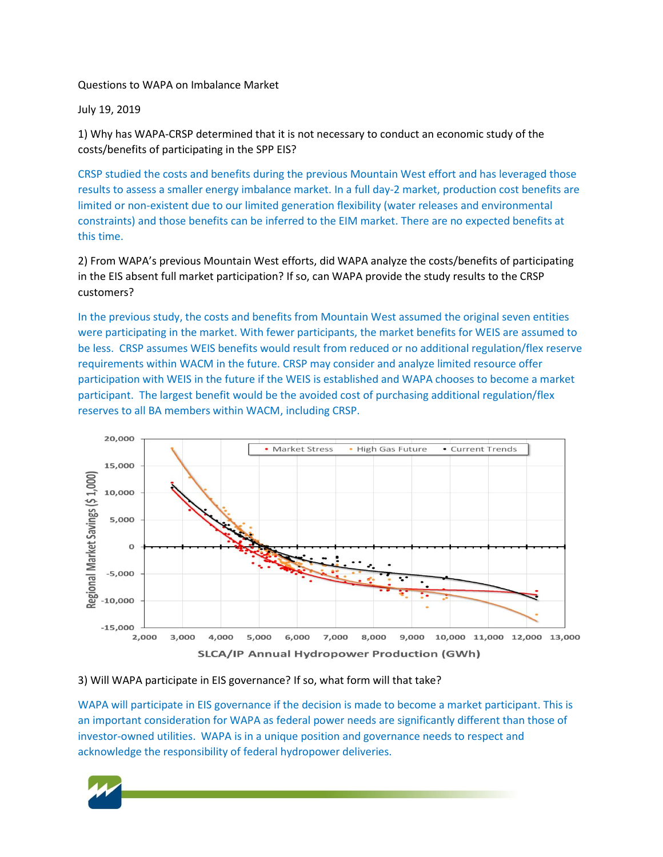Questions to WAPA on Imbalance Market

July 19, 2019

1) Why has WAPA-CRSP determined that it is not necessary to conduct an economic study of the costs/benefits of participating in the SPP EIS?

CRSP studied the costs and benefits during the previous Mountain West effort and has leveraged those results to assess a smaller energy imbalance market. In a full day-2 market, production cost benefits are limited or non-existent due to our limited generation flexibility (water releases and environmental constraints) and those benefits can be inferred to the EIM market. There are no expected benefits at this time.

2) From WAPA's previous Mountain West efforts, did WAPA analyze the costs/benefits of participating in the EIS absent full market participation? If so, can WAPA provide the study results to the CRSP customers?

In the previous study, the costs and benefits from Mountain West assumed the original seven entities were participating in the market. With fewer participants, the market benefits for WEIS are assumed to be less. CRSP assumes WEIS benefits would result from reduced or no additional regulation/flex reserve requirements within WACM in the future. CRSP may consider and analyze limited resource offer participation with WEIS in the future if the WEIS is established and WAPA chooses to become a market participant. The largest benefit would be the avoided cost of purchasing additional regulation/flex reserves to all BA members within WACM, including CRSP.



## 3) Will WAPA participate in EIS governance? If so, what form will that take?

WAPA will participate in EIS governance if the decision is made to become a market participant. This is an important consideration for WAPA as federal power needs are significantly different than those of investor-owned utilities. WAPA is in a unique position and governance needs to respect and acknowledge the responsibility of federal hydropower deliveries.

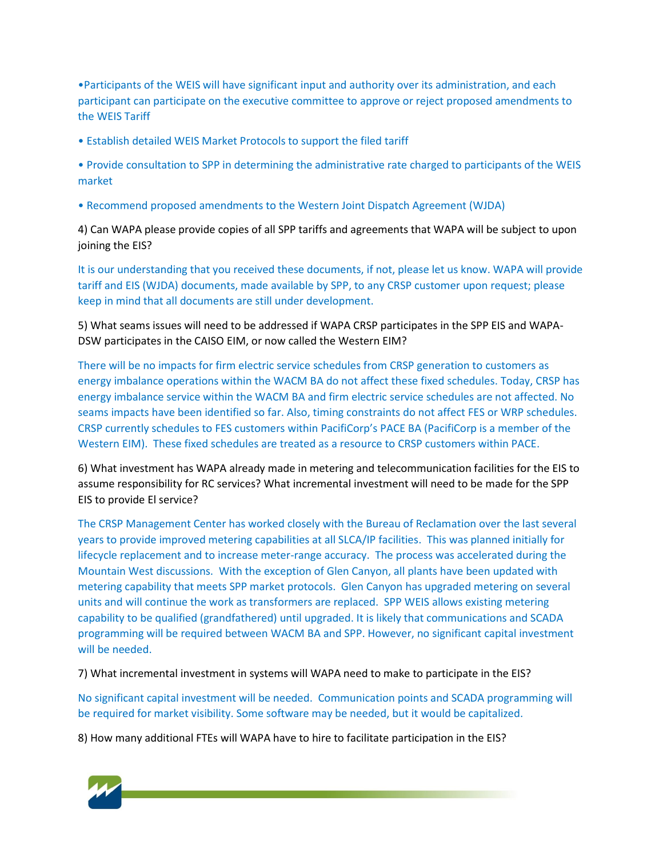•Participants of the WEIS will have significant input and authority over its administration, and each participant can participate on the executive committee to approve or reject proposed amendments to the WEIS Tariff

• Establish detailed WEIS Market Protocols to support the filed tariff

• Provide consultation to SPP in determining the administrative rate charged to participants of the WEIS market

• Recommend proposed amendments to the Western Joint Dispatch Agreement (WJDA)

4) Can WAPA please provide copies of all SPP tariffs and agreements that WAPA will be subject to upon joining the EIS?

It is our understanding that you received these documents, if not, please let us know. WAPA will provide tariff and EIS (WJDA) documents, made available by SPP, to any CRSP customer upon request; please keep in mind that all documents are still under development.

5) What seams issues will need to be addressed if WAPA CRSP participates in the SPP EIS and WAPA-DSW participates in the CAISO EIM, or now called the Western EIM?

There will be no impacts for firm electric service schedules from CRSP generation to customers as energy imbalance operations within the WACM BA do not affect these fixed schedules. Today, CRSP has energy imbalance service within the WACM BA and firm electric service schedules are not affected. No seams impacts have been identified so far. Also, timing constraints do not affect FES or WRP schedules. CRSP currently schedules to FES customers within PacifiCorp's PACE BA (PacifiCorp is a member of the Western EIM). These fixed schedules are treated as a resource to CRSP customers within PACE.

6) What investment has WAPA already made in metering and telecommunication facilities for the EIS to assume responsibility for RC services? What incremental investment will need to be made for the SPP EIS to provide El service?

The CRSP Management Center has worked closely with the Bureau of Reclamation over the last several years to provide improved metering capabilities at all SLCA/IP facilities. This was planned initially for lifecycle replacement and to increase meter-range accuracy. The process was accelerated during the Mountain West discussions. With the exception of Glen Canyon, all plants have been updated with metering capability that meets SPP market protocols. Glen Canyon has upgraded metering on several units and will continue the work as transformers are replaced. SPP WEIS allows existing metering capability to be qualified (grandfathered) until upgraded. It is likely that communications and SCADA programming will be required between WACM BA and SPP. However, no significant capital investment will be needed.

7) What incremental investment in systems will WAPA need to make to participate in the EIS?

No significant capital investment will be needed. Communication points and SCADA programming will be required for market visibility. Some software may be needed, but it would be capitalized.

8) How many additional FTEs will WAPA have to hire to facilitate participation in the EIS?

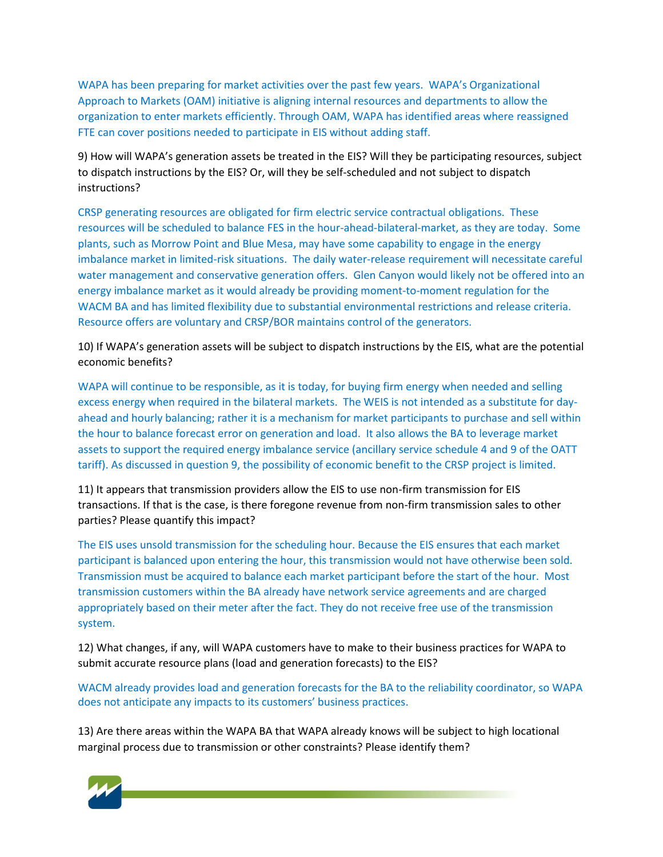WAPA has been preparing for market activities over the past few years. WAPA's Organizational Approach to Markets (OAM) initiative is aligning internal resources and departments to allow the organization to enter markets efficiently. Through OAM, WAPA has identified areas where reassigned FTE can cover positions needed to participate in EIS without adding staff.

9) How will WAPA's generation assets be treated in the EIS? Will they be participating resources, subject to dispatch instructions by the EIS? Or, will they be self-scheduled and not subject to dispatch instructions?

CRSP generating resources are obligated for firm electric service contractual obligations. These resources will be scheduled to balance FES in the hour-ahead-bilateral-market, as they are today. Some plants, such as Morrow Point and Blue Mesa, may have some capability to engage in the energy imbalance market in limited-risk situations. The daily water-release requirement will necessitate careful water management and conservative generation offers. Glen Canyon would likely not be offered into an energy imbalance market as it would already be providing moment-to-moment regulation for the WACM BA and has limited flexibility due to substantial environmental restrictions and release criteria. Resource offers are voluntary and CRSP/BOR maintains control of the generators.

10) If WAPA's generation assets will be subject to dispatch instructions by the EIS, what are the potential economic benefits?

WAPA will continue to be responsible, as it is today, for buying firm energy when needed and selling excess energy when required in the bilateral markets. The WEIS is not intended as a substitute for dayahead and hourly balancing; rather it is a mechanism for market participants to purchase and sell within the hour to balance forecast error on generation and load. It also allows the BA to leverage market assets to support the required energy imbalance service (ancillary service schedule 4 and 9 of the OATT tariff). As discussed in question 9, the possibility of economic benefit to the CRSP project is limited.

11) It appears that transmission providers allow the EIS to use non-firm transmission for EIS transactions. If that is the case, is there foregone revenue from non-firm transmission sales to other parties? Please quantify this impact?

The EIS uses unsold transmission for the scheduling hour. Because the EIS ensures that each market participant is balanced upon entering the hour, this transmission would not have otherwise been sold. Transmission must be acquired to balance each market participant before the start of the hour. Most transmission customers within the BA already have network service agreements and are charged appropriately based on their meter after the fact. They do not receive free use of the transmission system.

12) What changes, if any, will WAPA customers have to make to their business practices for WAPA to submit accurate resource plans (load and generation forecasts) to the EIS?

WACM already provides load and generation forecasts for the BA to the reliability coordinator, so WAPA does not anticipate any impacts to its customers' business practices.

13) Are there areas within the WAPA BA that WAPA already knows will be subject to high locational marginal process due to transmission or other constraints? Please identify them?

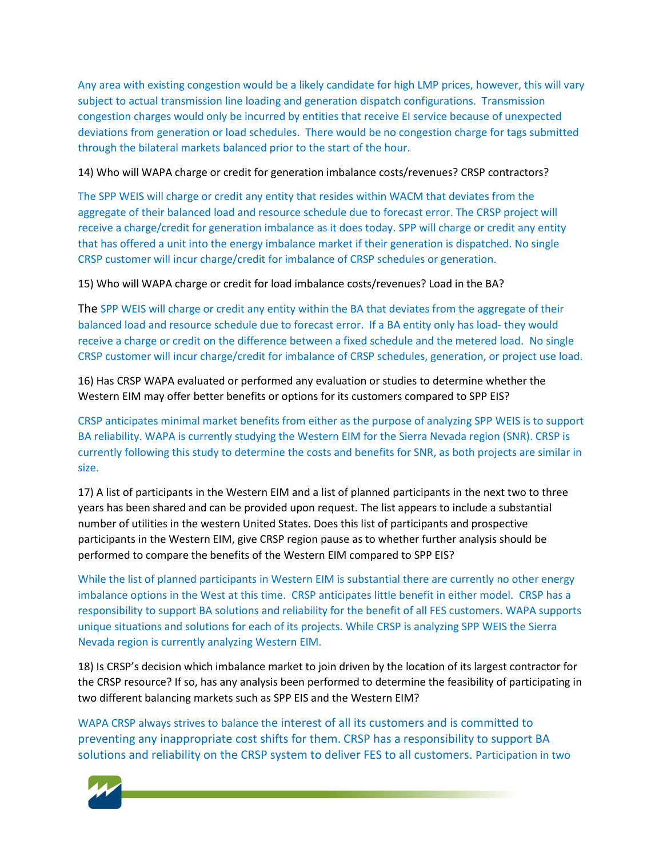Any area with existing congestion would be a likely candidate for high LMP prices, however, this will vary subject to actual transmission line loading and generation dispatch configurations. Transmission congestion charges would only be incurred by entities that receive EI service because of unexpected deviations from generation or load schedules. There would be no congestion charge for tags submitted through the bilateral markets balanced prior to the start of the hour.

14) Who will WAPA charge or credit for generation imbalance costs/revenues? CRSP contractors?

The SPP WEIS will charge or credit any entity that resides within WACM that deviates from the aggregate of their balanced load and resource schedule due to forecast error. The CRSP project will receive a charge/credit for generation imbalance as it does today. SPP will charge or credit any entity that has offered a unit into the energy imbalance market if their generation is dispatched. No single CRSP customer will incur charge/credit for imbalance of CRSP schedules or generation.

15) Who will WAPA charge or credit for load imbalance costs/revenues? Load in the BA?

The SPP WEIS will charge or credit any entity within the BA that deviates from the aggregate of their balanced load and resource schedule due to forecast error. If a BA entity only has load- they would receive a charge or credit on the difference between a fixed schedule and the metered load. No single CRSP customer will incur charge/credit for imbalance of CRSP schedules, generation, or project use load.

16) Has CRSP WAPA evaluated or performed any evaluation or studies to determine whether the Western EIM may offer better benefits or options for its customers compared to SPP EIS?

CRSP anticipates minimal market benefits from either as the purpose of analyzing SPP WEIS is to support BA reliability. WAPA is currently studying the Western EIM for the Sierra Nevada region (SNR). CRSP is currently following this study to determine the costs and benefits for SNR, as both projects are similar in size.

17) A list of participants in the Western EIM and a list of planned participants in the next two to three years has been shared and can be provided upon request. The list appears to include a substantial number of utilities in the western United States. Does this list of participants and prospective participants in the Western EIM, give CRSP region pause as to whether further analysis should be performed to compare the benefits of the Western EIM compared to SPP EIS?

While the list of planned participants in Western EIM is substantial there are currently no other energy imbalance options in the West at this time. CRSP anticipates little benefit in either model. CRSP has a responsibility to support BA solutions and reliability for the benefit of all FES customers. WAPA supports unique situations and solutions for each of its projects. While CRSP is analyzing SPP WEIS the Sierra Nevada region is currently analyzing Western EIM.

18) Is CRSP's decision which imbalance market to join driven by the location of its largest contractor for the CRSP resource? If so, has any analysis been performed to determine the feasibility of participating in two different balancing markets such as SPP EIS and the Western EIM?

WAPA CRSP always strives to balance the interest of all its customers and is committed to preventing any inappropriate cost shifts for them. CRSP has a responsibility to support BA solutions and reliability on the CRSP system to deliver FES to all customers. Participation in two